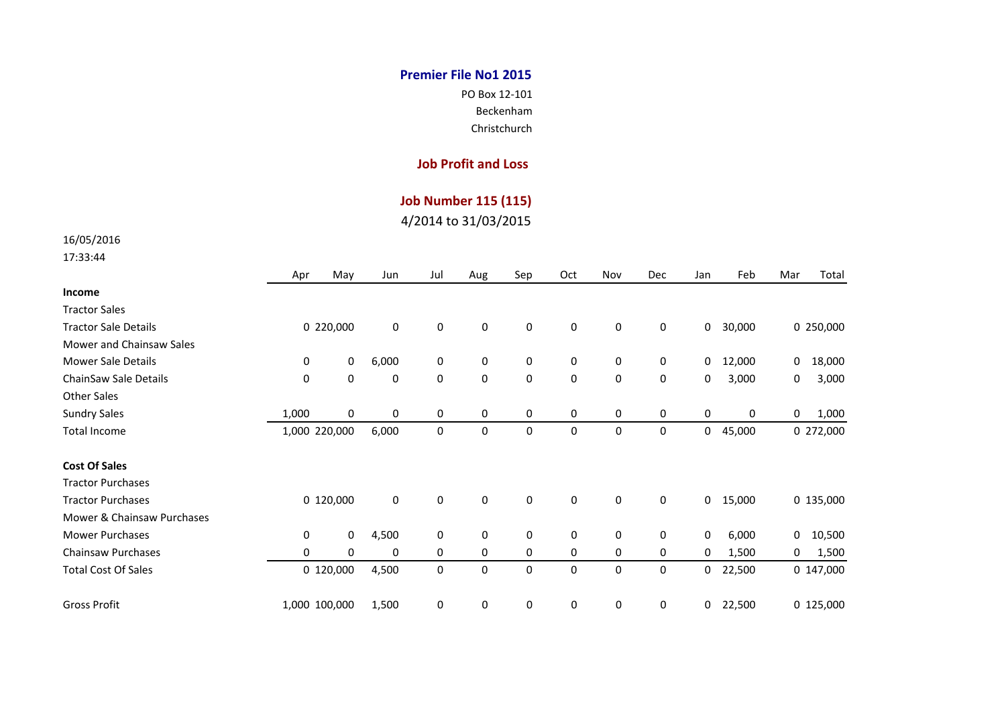## **Premier File No1 2015**

 PO Box 12-101 BeckenhamChristchurch

## **Job Profit and Loss**

## **Job Number 115 (115)**

01/04/2014 to 31/03/2015

16/05/2016

17:33:44

|                             | Apr           | May | Jun   | Jul | Aug       | Sep       | Oct | Nov         | <b>Dec</b>  | Jan | Feb    | Mar         | Total     |
|-----------------------------|---------------|-----|-------|-----|-----------|-----------|-----|-------------|-------------|-----|--------|-------------|-----------|
| Income                      |               |     |       |     |           |           |     |             |             |     |        |             |           |
| <b>Tractor Sales</b>        |               |     |       |     |           |           |     |             |             |     |        |             |           |
| <b>Tractor Sale Details</b> | 0 220,000     |     | 0     | 0   | 0         | $\pmb{0}$ | 0   | $\mathbf 0$ | $\mathbf 0$ | 0   | 30,000 |             | 0 250,000 |
| Mower and Chainsaw Sales    |               |     |       |     |           |           |     |             |             |     |        |             |           |
| <b>Mower Sale Details</b>   | 0             | 0   | 6,000 | 0   | 0         | $\pmb{0}$ | 0   | 0           | $\mathbf 0$ | 0   | 12,000 | 0           | 18,000    |
| ChainSaw Sale Details       | $\bf{0}$      | 0   | 0     | 0   | $\pmb{0}$ | $\pmb{0}$ | 0   | 0           | 0           | 0   | 3,000  | 0           | 3,000     |
| <b>Other Sales</b>          |               |     |       |     |           |           |     |             |             |     |        |             |           |
| <b>Sundry Sales</b>         | 1,000         | 0   | 0     | 0   | 0         | $\pmb{0}$ | 0   | 0           | 0           | 0   | 0      | 0           | 1,000     |
| Total Income                | 1,000 220,000 |     | 6,000 | 0   | 0         | 0         | 0   | 0           | 0           | 0   | 45,000 |             | 0 272,000 |
| <b>Cost Of Sales</b>        |               |     |       |     |           |           |     |             |             |     |        |             |           |
| <b>Tractor Purchases</b>    |               |     |       |     |           |           |     |             |             |     |        |             |           |
| <b>Tractor Purchases</b>    | 0 120,000     |     | 0     | 0   | $\pmb{0}$ | $\pmb{0}$ | 0   | $\mathbf 0$ | $\mathbf 0$ | 0   | 15,000 |             | 0 135,000 |
| Mower & Chainsaw Purchases  |               |     |       |     |           |           |     |             |             |     |        |             |           |
| Mower Purchases             | 0             | 0   | 4,500 | 0   | 0         | $\pmb{0}$ | 0   | 0           | 0           | 0   | 6,000  | 0           | 10,500    |
| Chainsaw Purchases          | 0             | 0   | 0     | 0   | 0         | 0         | 0   | 0           | 0           | 0   | 1,500  | $\mathbf 0$ | 1,500     |
| <b>Total Cost Of Sales</b>  | 0 120,000     |     | 4,500 | 0   | 0         | $\pmb{0}$ | 0   | $\mathbf 0$ | 0           | 0   | 22,500 |             | 0 147,000 |
| Gross Profit                | 1,000 100,000 |     | 1,500 | 0   | 0         | $\bf{0}$  | 0   | 0           | 0           | 0   | 22,500 |             | 0 125,000 |